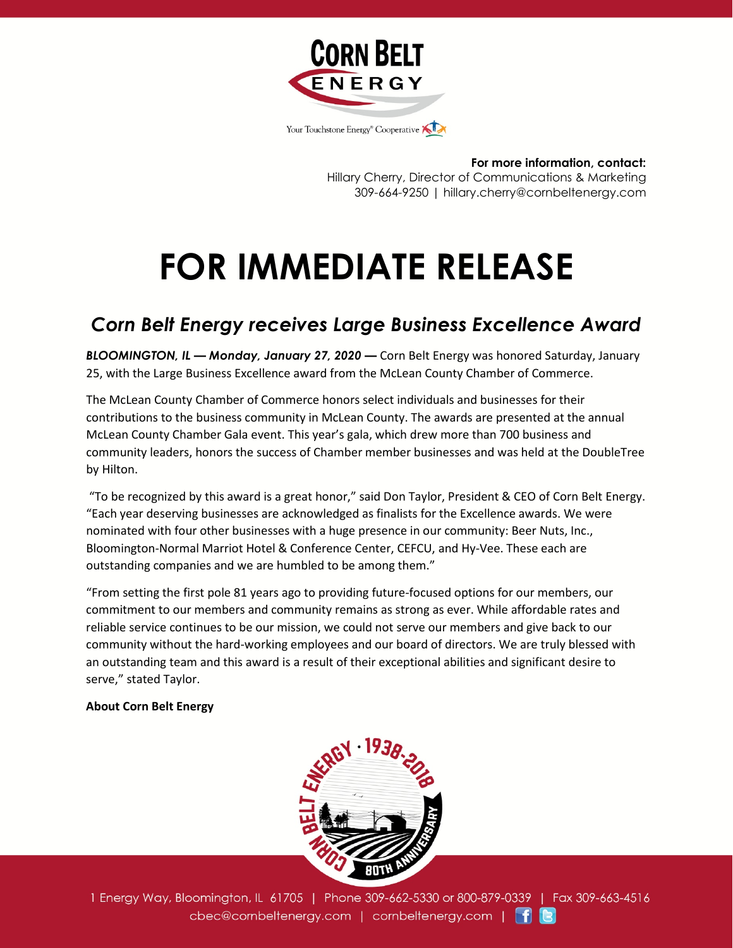

**For more information, contact:** Hillary Cherry, Director of Communications & Marketing 309-664-9250 | hillary.cherry@cornbeltenergy.com

## **FOR IMMEDIATE RELEASE**

## *Corn Belt Energy receives Large Business Excellence Award*

*BLOOMINGTON, IL — Monday, January 27, 2020 —* Corn Belt Energy was honored Saturday, January 25, with the Large Business Excellence award from the McLean County Chamber of Commerce.

The McLean County Chamber of Commerce honors select individuals and businesses for their contributions to the business community in McLean County. The awards are presented at the annual McLean County Chamber Gala event. This year's gala, which drew more than 700 business and community leaders, honors the success of Chamber member businesses and was held at the DoubleTree by Hilton.

"To be recognized by this award is a great honor," said Don Taylor, President & CEO of Corn Belt Energy. "Each year deserving businesses are acknowledged as finalists for the Excellence awards. We were nominated with four other businesses with a huge presence in our community: Beer Nuts, Inc., Bloomington-Normal Marriot Hotel & Conference Center, CEFCU, and Hy-Vee. These each are outstanding companies and we are humbled to be among them."

"From setting the first pole 81 years ago to providing future-focused options for our members, our commitment to our members and community remains as strong as ever. While affordable rates and reliable service continues to be our mission, we could not serve our members and give back to our community without the hard-working employees and our board of directors. We are truly blessed with an outstanding team and this award is a result of their exceptional abilities and significant desire to serve," stated Taylor.

## **About Corn Belt Energy**



1 Energy Way, Bloomington, IL 61705 | Phone 309-662-5330 or 800-879-0339 | Fax 309-663-4516 cbec@cornbeltenergy.com | cornbeltenergy.com | f